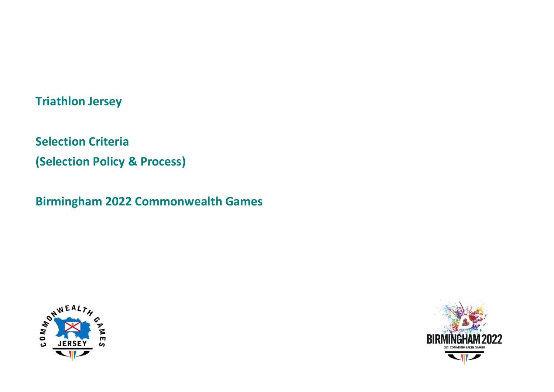# **Triathlon Jersey**

**Selection Criteria (Selection Policy & Process)**

**Birmingham 2022 Commonwealth Games**



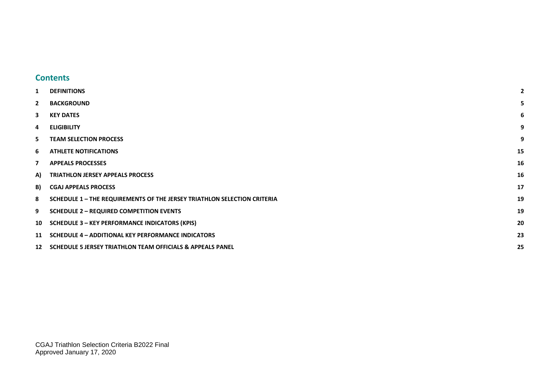#### <span id="page-1-0"></span>**Contents**

| 1                        | <b>DEFINITIONS</b>                                                       | 2  |
|--------------------------|--------------------------------------------------------------------------|----|
| $\mathbf{2}$             | <b>BACKGROUND</b>                                                        |    |
| 3                        | <b>KEY DATES</b>                                                         | 6  |
| 4                        | <b>ELIGIBILITY</b>                                                       | 9  |
| 5                        | <b>TEAM SELECTION PROCESS</b>                                            | 9  |
| -6                       | <b>ATHLETE NOTIFICATIONS</b>                                             | 15 |
| $\overline{\phantom{a}}$ | <b>APPEALS PROCESSES</b>                                                 | 16 |
| A)                       | <b>TRIATHLON JERSEY APPEALS PROCESS</b>                                  | 16 |
| B)                       | <b>CGAJ APPEALS PROCESS</b>                                              | 17 |
| 8                        | SCHEDULE 1 - THE REQUIREMENTS OF THE JERSEY TRIATHLON SELECTION CRITERIA | 19 |
| 9                        | <b>SCHEDULE 2 - REQUIRED COMPETITION EVENTS</b>                          | 19 |
| 10                       | <b>SCHEDULE 3 - KEY PERFORMANCE INDICATORS (KPIS)</b>                    | 20 |
| 11                       | <b>SCHEDULE 4 - ADDITIONAL KEY PERFORMANCE INDICATORS</b>                | 23 |
|                          | 12 SCHEDULE 5 JERSEY TRIATHLON TEAM OFFICIALS & APPEALS PANEL            | 25 |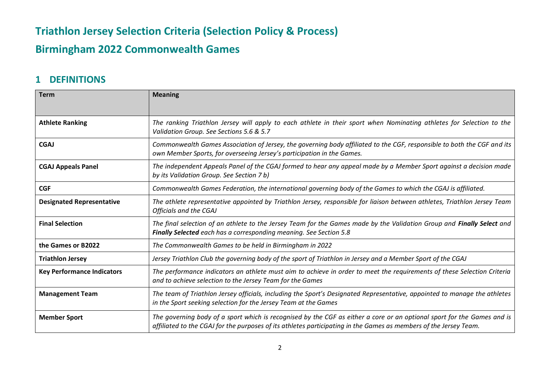# **Birmingham 2022 Commonwealth Games**

#### <span id="page-2-0"></span>**1 DEFINITIONS**

| <b>Term</b>                       | <b>Meaning</b>                                                                                                                                                                                                                               |  |  |
|-----------------------------------|----------------------------------------------------------------------------------------------------------------------------------------------------------------------------------------------------------------------------------------------|--|--|
|                                   |                                                                                                                                                                                                                                              |  |  |
| <b>Athlete Ranking</b>            | The ranking Triathlon Jersey will apply to each athlete in their sport when Nominating athletes for Selection to the<br>Validation Group. See Sections 5.6 & 5.7                                                                             |  |  |
| <b>CGAJ</b>                       | Commonwealth Games Association of Jersey, the governing body affiliated to the CGF, responsible to both the CGF and its<br>own Member Sports, for overseeing Jersey's participation in the Games.                                            |  |  |
| <b>CGAJ Appeals Panel</b>         | The independent Appeals Panel of the CGAJ formed to hear any appeal made by a Member Sport against a decision made<br>by its Validation Group. See Section 7 b)                                                                              |  |  |
| <b>CGF</b>                        | Commonwealth Games Federation, the international governing body of the Games to which the CGAJ is affiliated.                                                                                                                                |  |  |
| <b>Designated Representative</b>  | The athlete representative appointed by Triathlon Jersey, responsible for liaison between athletes, Triathlon Jersey Team<br><b>Officials and the CGAJ</b>                                                                                   |  |  |
| <b>Final Selection</b>            | The final selection of an athlete to the Jersey Team for the Games made by the Validation Group and Finally Select and<br><b>Finally Selected</b> each has a corresponding meaning. See Section 5.8                                          |  |  |
| the Games or B2022                | The Commonwealth Games to be held in Birmingham in 2022                                                                                                                                                                                      |  |  |
| <b>Triathlon Jersey</b>           | Jersey Triathlon Club the governing body of the sport of Triathlon in Jersey and a Member Sport of the CGAJ                                                                                                                                  |  |  |
| <b>Key Performance Indicators</b> | The performance indicators an athlete must aim to achieve in order to meet the requirements of these Selection Criteria<br>and to achieve selection to the Jersey Team for the Games                                                         |  |  |
| <b>Management Team</b>            | The team of Triathlon Jersey officials, including the Sport's Designated Representative, appointed to manage the athletes<br>in the Sport seeking selection for the Jersey Team at the Games                                                 |  |  |
| <b>Member Sport</b>               | The governing body of a sport which is recognised by the CGF as either a core or an optional sport for the Games and is<br>affiliated to the CGAJ for the purposes of its athletes participating in the Games as members of the Jersey Team. |  |  |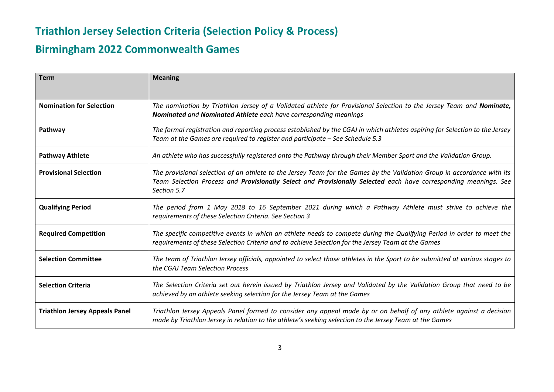# **Birmingham 2022 Commonwealth Games**

| <b>Term</b>                           | <b>Meaning</b>                                                                                                                                                                                                                                             |
|---------------------------------------|------------------------------------------------------------------------------------------------------------------------------------------------------------------------------------------------------------------------------------------------------------|
| <b>Nomination for Selection</b>       | The nomination by Triathlon Jersey of a Validated athlete for Provisional Selection to the Jersey Team and Nominate,<br>Nominated and Nominated Athlete each have corresponding meanings                                                                   |
| Pathway                               | The formal registration and reporting process established by the CGAJ in which athletes aspiring for Selection to the Jersey<br>Team at the Games are required to register and participate – See Schedule 5.3                                              |
| <b>Pathway Athlete</b>                | An athlete who has successfully registered onto the Pathway through their Member Sport and the Validation Group.                                                                                                                                           |
| <b>Provisional Selection</b>          | The provisional selection of an athlete to the Jersey Team for the Games by the Validation Group in accordance with its<br>Team Selection Process and Provisionally Select and Provisionally Selected each have corresponding meanings. See<br>Section 5.7 |
| <b>Qualifying Period</b>              | The period from 1 May 2018 to 16 September 2021 during which a Pathway Athlete must strive to achieve the<br>requirements of these Selection Criteria. See Section 3                                                                                       |
| <b>Required Competition</b>           | The specific competitive events in which an athlete needs to compete during the Qualifying Period in order to meet the<br>requirements of these Selection Criteria and to achieve Selection for the Jersey Team at the Games                               |
| <b>Selection Committee</b>            | The team of Triathlon Jersey officials, appointed to select those athletes in the Sport to be submitted at various stages to<br>the CGAJ Team Selection Process                                                                                            |
| <b>Selection Criteria</b>             | The Selection Criteria set out herein issued by Triathlon Jersey and Validated by the Validation Group that need to be<br>achieved by an athlete seeking selection for the Jersey Team at the Games                                                        |
| <b>Triathlon Jersey Appeals Panel</b> | Triathlon Jersey Appeals Panel formed to consider any appeal made by or on behalf of any athlete against a decision<br>made by Triathlon Jersey in relation to the athlete's seeking selection to the Jersey Team at the Games                             |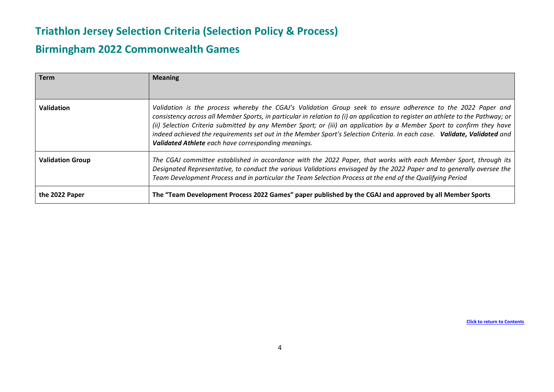### **Birmingham 2022 Commonwealth Games**

| Term                    | <b>Meaning</b>                                                                                                                                                                                                                                                                                                                                                                                                                                                                                                                                              |
|-------------------------|-------------------------------------------------------------------------------------------------------------------------------------------------------------------------------------------------------------------------------------------------------------------------------------------------------------------------------------------------------------------------------------------------------------------------------------------------------------------------------------------------------------------------------------------------------------|
| Validation              | Validation is the process whereby the CGAJ's Validation Group seek to ensure adherence to the 2022 Paper and<br>consistency across all Member Sports, in particular in relation to (i) an application to register an athlete to the Pathway; or<br>(ii) Selection Criteria submitted by any Member Sport; or (iii) an application by a Member Sport to confirm they have<br>indeed achieved the requirements set out in the Member Sport's Selection Criteria. In each case. Validate, Validated and<br>Validated Athlete each have corresponding meanings. |
| <b>Validation Group</b> | The CGAJ committee established in accordance with the 2022 Paper, that works with each Member Sport, through its<br>Designated Representative, to conduct the various Validations envisaged by the 2022 Paper and to generally oversee the<br>Team Development Process and in particular the Team Selection Process at the end of the Qualifying Period                                                                                                                                                                                                     |
| the 2022 Paper          | The "Team Development Process 2022 Games" paper published by the CGAJ and approved by all Member Sports                                                                                                                                                                                                                                                                                                                                                                                                                                                     |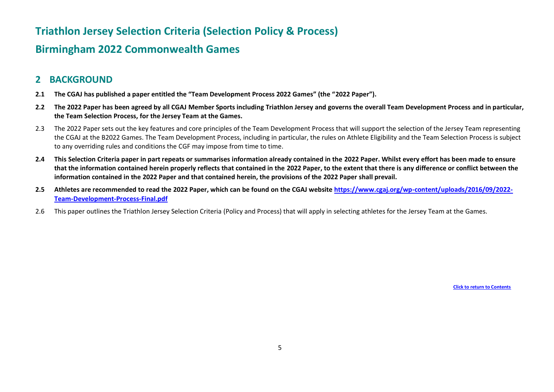### **Birmingham 2022 Commonwealth Games**

#### <span id="page-5-0"></span>**2 BACKGROUND**

- **2.1 The CGAJ has published a paper entitled the "Team Development Process 2022 Games" (the "2022 Paper").**
- **2.2 The 2022 Paper has been agreed by all CGAJ Member Sports including Triathlon Jersey and governs the overall Team Development Process and in particular, the Team Selection Process, for the Jersey Team at the Games.**
- 2.3 The 2022 Paper sets out the key features and core principles of the Team Development Process that will support the selection of the Jersey Team representing the CGAJ at the B2022 Games. The Team Development Process, including in particular, the rules on Athlete Eligibility and the Team Selection Process is subject to any overriding rules and conditions the CGF may impose from time to time.
- **2.4 This Selection Criteria paper in part repeats or summarises information already contained in the 2022 Paper. Whilst every effort has been made to ensure that the information contained herein properly reflects that contained in the 2022 Paper, to the extent that there is any difference or conflict between the information contained in the 2022 Paper and that contained herein, the provisions of the 2022 Paper shall prevail.**
- **2.5 Athletes are recommended to read the 2022 Paper, which can be found on the CGAJ website [https://www.cgaj.org/wp-content/uploads/2016/09/2022-](https://www.cgaj.org/wp-content/uploads/2016/09/2022-Team-Development-Process-Final.pdf) [Team-Development-Process-Final.pdf](https://www.cgaj.org/wp-content/uploads/2016/09/2022-Team-Development-Process-Final.pdf)**
- 2.6 This paper outlines the Triathlon Jersey Selection Criteria (Policy and Process) that will apply in selecting athletes for the Jersey Team at the Games.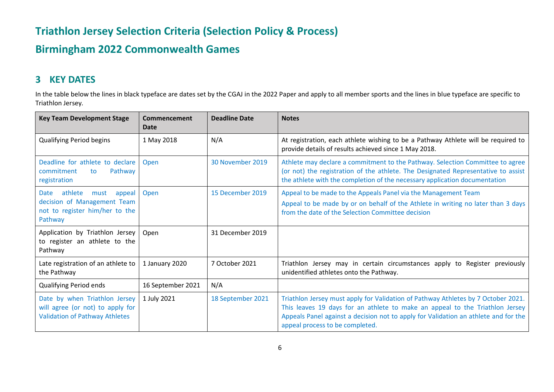# **Birmingham 2022 Commonwealth Games**

### <span id="page-6-0"></span>**3 KEY DATES**

In the table below the lines in black typeface are dates set by the CGAJ in the 2022 Paper and apply to all member sports and the lines in blue typeface are specific to Triathlon Jersey*.*

| <b>Key Team Development Stage</b>                                                                             | Commencement<br>Date | <b>Deadline Date</b> | <b>Notes</b>                                                                                                                                                                                                                                                                                |
|---------------------------------------------------------------------------------------------------------------|----------------------|----------------------|---------------------------------------------------------------------------------------------------------------------------------------------------------------------------------------------------------------------------------------------------------------------------------------------|
| <b>Qualifying Period begins</b>                                                                               | 1 May 2018           | N/A                  | At registration, each athlete wishing to be a Pathway Athlete will be required to<br>provide details of results achieved since 1 May 2018.                                                                                                                                                  |
| Deadline for athlete to declare<br>Pathway<br>commitment<br>to<br>registration                                | Open                 | 30 November 2019     | Athlete may declare a commitment to the Pathway. Selection Committee to agree<br>(or not) the registration of the athlete. The Designated Representative to assist<br>the athlete with the completion of the necessary application documentation                                            |
| athlete<br>must<br>Date<br>appeal<br>decision of Management Team<br>not to register him/her to the<br>Pathway | Open                 | 15 December 2019     | Appeal to be made to the Appeals Panel via the Management Team<br>Appeal to be made by or on behalf of the Athlete in writing no later than 3 days<br>from the date of the Selection Committee decision                                                                                     |
| Application by Triathlon Jersey<br>to register an athlete to the<br>Pathway                                   | Open                 | 31 December 2019     |                                                                                                                                                                                                                                                                                             |
| Late registration of an athlete to<br>the Pathway                                                             | 1 January 2020       | 7 October 2021       | Triathlon Jersey may in certain circumstances apply to Register previously<br>unidentified athletes onto the Pathway.                                                                                                                                                                       |
| Qualifying Period ends                                                                                        | 16 September 2021    | N/A                  |                                                                                                                                                                                                                                                                                             |
| Date by when Triathlon Jersey<br>will agree (or not) to apply for<br><b>Validation of Pathway Athletes</b>    | 1 July 2021          | 18 September 2021    | Triathlon Jersey must apply for Validation of Pathway Athletes by 7 October 2021.<br>This leaves 19 days for an athlete to make an appeal to the Triathlon Jersey<br>Appeals Panel against a decision not to apply for Validation an athlete and for the<br>appeal process to be completed. |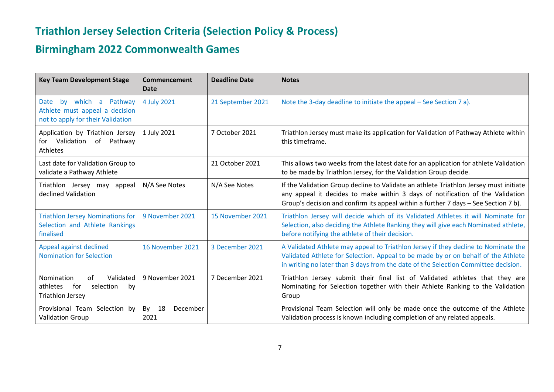# **Birmingham 2022 Commonwealth Games**

| <b>Key Team Development Stage</b>                                                                              | Commencement<br><b>Date</b>  | <b>Deadline Date</b> | <b>Notes</b>                                                                                                                                                                                                                                                  |
|----------------------------------------------------------------------------------------------------------------|------------------------------|----------------------|---------------------------------------------------------------------------------------------------------------------------------------------------------------------------------------------------------------------------------------------------------------|
| which a<br>Pathway<br><b>Date</b><br>bv<br>Athlete must appeal a decision<br>not to apply for their Validation | 4 July 2021                  | 21 September 2021    | Note the 3-day deadline to initiate the appeal – See Section 7 a).                                                                                                                                                                                            |
| Application by Triathlon Jersey<br>for Validation<br>of Pathway<br>Athletes                                    | 1 July 2021                  | 7 October 2021       | Triathlon Jersey must make its application for Validation of Pathway Athlete within<br>this timeframe.                                                                                                                                                        |
| Last date for Validation Group to<br>validate a Pathway Athlete                                                |                              | 21 October 2021      | This allows two weeks from the latest date for an application for athlete Validation<br>to be made by Triathlon Jersey, for the Validation Group decide.                                                                                                      |
| Triathlon Jersey may appeal<br>declined Validation                                                             | N/A See Notes                | N/A See Notes        | If the Validation Group decline to Validate an athlete Triathlon Jersey must initiate<br>any appeal it decides to make within 3 days of notification of the Validation<br>Group's decision and confirm its appeal within a further 7 days - See Section 7 b). |
| <b>Triathlon Jersey Nominations for</b><br>Selection and Athlete Rankings<br>finalised                         | 9 November 2021              | 15 November 2021     | Triathlon Jersey will decide which of its Validated Athletes it will Nominate for<br>Selection, also deciding the Athlete Ranking they will give each Nominated athlete,<br>before notifying the athlete of their decision.                                   |
| Appeal against declined<br><b>Nomination for Selection</b>                                                     | 16 November 2021             | 3 December 2021      | A Validated Athlete may appeal to Triathlon Jersey if they decline to Nominate the<br>Validated Athlete for Selection. Appeal to be made by or on behalf of the Athlete<br>in writing no later than 3 days from the date of the Selection Committee decision. |
| Validated<br>Nomination<br>of<br>athletes<br>for<br>selection<br>by<br><b>Triathlon Jersey</b>                 | 9 November 2021              | 7 December 2021      | Triathlon Jersey submit their final list of Validated athletes that they are<br>Nominating for Selection together with their Athlete Ranking to the Validation<br>Group                                                                                       |
| Provisional Team Selection by<br><b>Validation Group</b>                                                       | 18<br>By<br>December<br>2021 |                      | Provisional Team Selection will only be made once the outcome of the Athlete<br>Validation process is known including completion of any related appeals.                                                                                                      |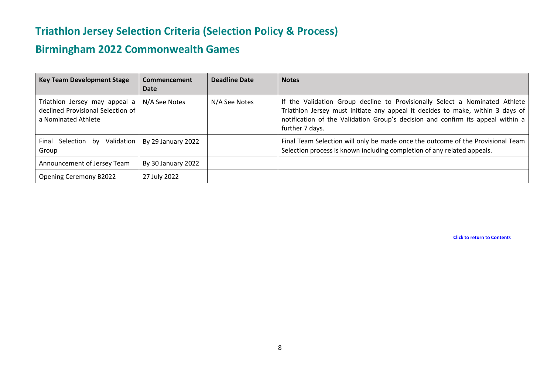# **Birmingham 2022 Commonwealth Games**

| <b>Key Team Development Stage</b>                                                         | Commencement<br>Date | Deadline Date | <b>Notes</b>                                                                                                                                                                                                                                                        |
|-------------------------------------------------------------------------------------------|----------------------|---------------|---------------------------------------------------------------------------------------------------------------------------------------------------------------------------------------------------------------------------------------------------------------------|
| Triathlon Jersey may appeal a<br>declined Provisional Selection of<br>a Nominated Athlete | N/A See Notes        | N/A See Notes | If the Validation Group decline to Provisionally Select a Nominated Athlete<br>Triathlon Jersey must initiate any appeal it decides to make, within 3 days of<br>notification of the Validation Group's decision and confirm its appeal within a<br>further 7 days. |
| Validation<br>Final Selection by<br>Group                                                 | By 29 January 2022   |               | Final Team Selection will only be made once the outcome of the Provisional Team<br>Selection process is known including completion of any related appeals.                                                                                                          |
| Announcement of Jersey Team                                                               | By 30 January 2022   |               |                                                                                                                                                                                                                                                                     |
| <b>Opening Ceremony B2022</b>                                                             | 27 July 2022         |               |                                                                                                                                                                                                                                                                     |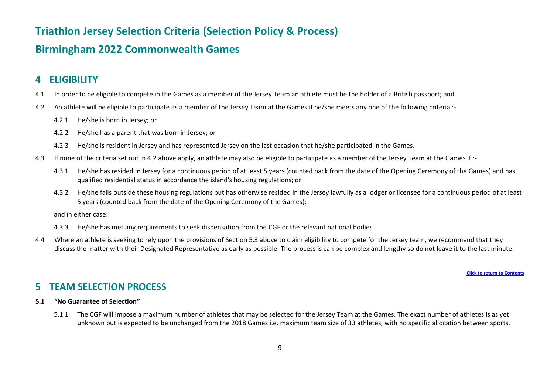#### **Birmingham 2022 Commonwealth Games**

#### <span id="page-9-0"></span>**4 ELIGIBILITY**

- 4.1 In order to be eligible to compete in the Games as a member of the Jersey Team an athlete must be the holder of a British passport; and
- 4.2 An athlete will be eligible to participate as a member of the Jersey Team at the Games if he/she meets any one of the following criteria :-
	- 4.2.1 He/she is born in Jersey; or
	- 4.2.2 He/she has a parent that was born in Jersey; or
	- 4.2.3 He/she is resident in Jersey and has represented Jersey on the last occasion that he/she participated in the Games.
- 4.3 If none of the criteria set out in 4.2 above apply, an athlete may also be eligible to participate as a member of the Jersey Team at the Games if :-
	- 4.3.1 He/she has resided in Jersey for a continuous period of at least 5 years (counted back from the date of the Opening Ceremony of the Games) and has qualified residential status in accordance the island's housing regulations; or
	- 4.3.2 He/she falls outside these housing regulations but has otherwise resided in the Jersey lawfully as a lodger or licensee for a continuous period of at least 5 years (counted back from the date of the Opening Ceremony of the Games);

and in either case:

- 4.3.3 He/she has met any requirements to seek dispensation from the CGF or the relevant national bodies
- 4.4 Where an athlete is seeking to rely upon the provisions of Section 5.3 above to claim eligibility to compete for the Jersey team, we recommend that they discuss the matter with their Designated Representative as early as possible. The process is can be complex and lengthy so do not leave it to the last minute.

#### **[Click to return to Contents](#page-1-0)**

#### <span id="page-9-1"></span>**5 TEAM SELECTION PROCESS**

#### **5.1 "No Guarantee of Selection"**

5.1.1 The CGF will impose a maximum number of athletes that may be selected for the Jersey Team at the Games. The exact number of athletes is as yet unknown but is expected to be unchanged from the 2018 Games i.e. maximum team size of 33 athletes, with no specific allocation between sports.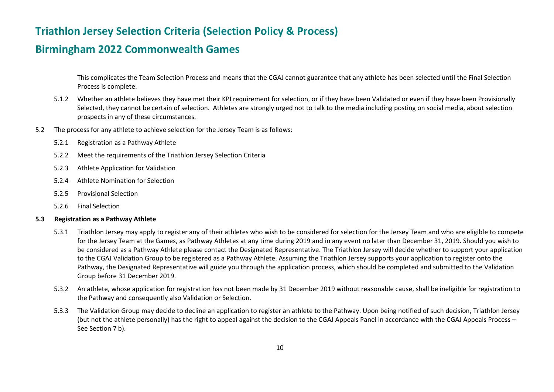#### **Birmingham 2022 Commonwealth Games**

This complicates the Team Selection Process and means that the CGAJ cannot guarantee that any athlete has been selected until the Final Selection Process is complete.

- 5.1.2 Whether an athlete believes they have met their KPI requirement for selection, or if they have been Validated or even if they have been Provisionally Selected, they cannot be certain of selection. Athletes are strongly urged not to talk to the media including posting on social media, about selection prospects in any of these circumstances.
- 5.2 The process for any athlete to achieve selection for the Jersey Team is as follows:
	- 5.2.1 Registration as a Pathway Athlete
	- 5.2.2 Meet the requirements of the Triathlon Jersey Selection Criteria
	- 5.2.3 Athlete Application for Validation
	- 5.2.4 Athlete Nomination for Selection
	- 5.2.5 Provisional Selection
	- 5.2.6 Final Selection

#### **5.3 Registration as a Pathway Athlete**

- 5.3.1 Triathlon Jersey may apply to register any of their athletes who wish to be considered for selection for the Jersey Team and who are eligible to compete for the Jersey Team at the Games, as Pathway Athletes at any time during 2019 and in any event no later than December 31, 2019. Should you wish to be considered as a Pathway Athlete please contact the Designated Representative. The Triathlon Jersey will decide whether to support your application to the CGAJ Validation Group to be registered as a Pathway Athlete. Assuming the Triathlon Jersey supports your application to register onto the Pathway, the Designated Representative will guide you through the application process, which should be completed and submitted to the Validation Group before 31 December 2019.
- 5.3.2 An athlete, whose application for registration has not been made by 31 December 2019 without reasonable cause, shall be ineligible for registration to the Pathway and consequently also Validation or Selection.
- 5.3.3 The Validation Group may decide to decline an application to register an athlete to the Pathway. Upon being notified of such decision, Triathlon Jersey (but not the athlete personally) has the right to appeal against the decision to the CGAJ Appeals Panel in accordance with the CGAJ Appeals Process – See Section 7 b).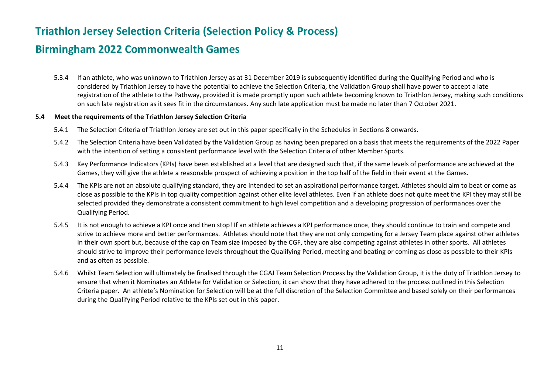#### **Birmingham 2022 Commonwealth Games**

5.3.4 If an athlete, who was unknown to Triathlon Jersey as at 31 December 2019 is subsequently identified during the Qualifying Period and who is considered by Triathlon Jersey to have the potential to achieve the Selection Criteria, the Validation Group shall have power to accept a late registration of the athlete to the Pathway, provided it is made promptly upon such athlete becoming known to Triathlon Jersey, making such conditions on such late registration as it sees fit in the circumstances. Any such late application must be made no later than 7 October 2021.

#### **5.4 Meet the requirements of the Triathlon Jersey Selection Criteria**

- 5.4.1 The Selection Criteria of Triathlon Jersey are set out in this paper specifically in the Schedules in Sections 8 onwards.
- 5.4.2 The Selection Criteria have been Validated by the Validation Group as having been prepared on a basis that meets the requirements of the 2022 Paper with the intention of setting a consistent performance level with the Selection Criteria of other Member Sports.
- 5.4.3 Key Performance Indicators (KPIs) have been established at a level that are designed such that, if the same levels of performance are achieved at the Games, they will give the athlete a reasonable prospect of achieving a position in the top half of the field in their event at the Games.
- 5.4.4 The KPIs are not an absolute qualifying standard, they are intended to set an aspirational performance target. Athletes should aim to beat or come as close as possible to the KPIs in top quality competition against other elite level athletes. Even if an athlete does not quite meet the KPI they may still be selected provided they demonstrate a consistent commitment to high level competition and a developing progression of performances over the Qualifying Period.
- 5.4.5 It is not enough to achieve a KPI once and then stop! If an athlete achieves a KPI performance once, they should continue to train and compete and strive to achieve more and better performances. Athletes should note that they are not only competing for a Jersey Team place against other athletes in their own sport but, because of the cap on Team size imposed by the CGF, they are also competing against athletes in other sports. All athletes should strive to improve their performance levels throughout the Qualifying Period, meeting and beating or coming as close as possible to their KPIs and as often as possible.
- 5.4.6 Whilst Team Selection will ultimately be finalised through the CGAJ Team Selection Process by the Validation Group, it is the duty of Triathlon Jersey to ensure that when it Nominates an Athlete for Validation or Selection, it can show that they have adhered to the process outlined in this Selection Criteria paper. An athlete's Nomination for Selection will be at the full discretion of the Selection Committee and based solely on their performances during the Qualifying Period relative to the KPIs set out in this paper.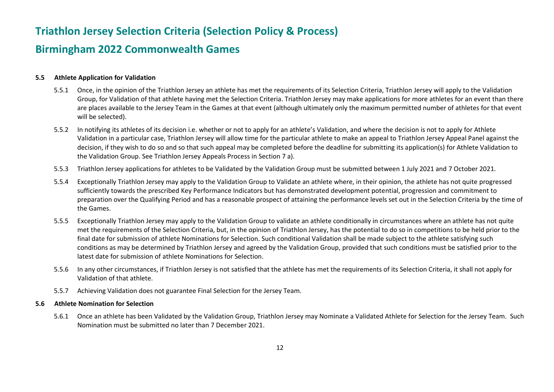#### **Birmingham 2022 Commonwealth Games**

#### **5.5 Athlete Application for Validation**

- 5.5.1 Once, in the opinion of the Triathlon Jersey an athlete has met the requirements of its Selection Criteria, Triathlon Jersey will apply to the Validation Group, for Validation of that athlete having met the Selection Criteria. Triathlon Jersey may make applications for more athletes for an event than there are places available to the Jersey Team in the Games at that event (although ultimately only the maximum permitted number of athletes for that event will be selected).
- 5.5.2 In notifying its athletes of its decision i.e. whether or not to apply for an athlete's Validation, and where the decision is not to apply for Athlete Validation in a particular case, Triathlon Jersey will allow time for the particular athlete to make an appeal to Triathlon Jersey Appeal Panel against the decision, if they wish to do so and so that such appeal may be completed before the deadline for submitting its application(s) for Athlete Validation to the Validation Group. See Triathlon Jersey Appeals Process in Section 7 a).
- 5.5.3 Triathlon Jersey applications for athletes to be Validated by the Validation Group must be submitted between 1 July 2021 and 7 October 2021.
- 5.5.4 Exceptionally Triathlon Jersey may apply to the Validation Group to Validate an athlete where, in their opinion, the athlete has not quite progressed sufficiently towards the prescribed Key Performance Indicators but has demonstrated development potential, progression and commitment to preparation over the Qualifying Period and has a reasonable prospect of attaining the performance levels set out in the Selection Criteria by the time of the Games.
- 5.5.5 Exceptionally Triathlon Jersey may apply to the Validation Group to validate an athlete conditionally in circumstances where an athlete has not quite met the requirements of the Selection Criteria, but, in the opinion of Triathlon Jersey, has the potential to do so in competitions to be held prior to the final date for submission of athlete Nominations for Selection. Such conditional Validation shall be made subject to the athlete satisfying such conditions as may be determined by Triathlon Jersey and agreed by the Validation Group, provided that such conditions must be satisfied prior to the latest date for submission of athlete Nominations for Selection.
- 5.5.6 In any other circumstances, if Triathlon Jersey is not satisfied that the athlete has met the requirements of its Selection Criteria, it shall not apply for Validation of that athlete.
- 5.5.7 Achieving Validation does not guarantee Final Selection for the Jersey Team.

#### **5.6 Athlete Nomination for Selection**

5.6.1 Once an athlete has been Validated by the Validation Group, Triathlon Jersey may Nominate a Validated Athlete for Selection for the Jersey Team. Such Nomination must be submitted no later than 7 December 2021.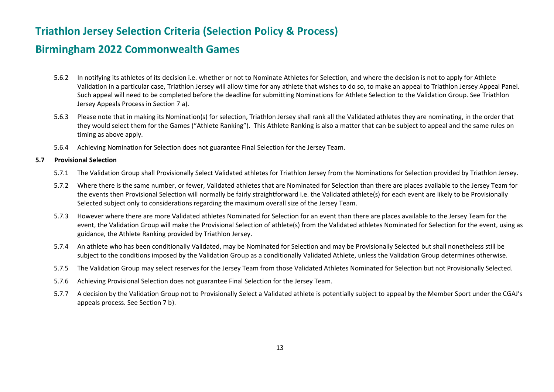#### **Birmingham 2022 Commonwealth Games**

- 5.6.2 In notifying its athletes of its decision i.e. whether or not to Nominate Athletes for Selection, and where the decision is not to apply for Athlete Validation in a particular case, Triathlon Jersey will allow time for any athlete that wishes to do so, to make an appeal to Triathlon Jersey Appeal Panel. Such appeal will need to be completed before the deadline for submitting Nominations for Athlete Selection to the Validation Group. See Triathlon Jersey Appeals Process in Section 7 a).
- 5.6.3 Please note that in making its Nomination(s) for selection, Triathlon Jersey shall rank all the Validated athletes they are nominating, in the order that they would select them for the Games ("Athlete Ranking"). This Athlete Ranking is also a matter that can be subject to appeal and the same rules on timing as above apply.
- 5.6.4 Achieving Nomination for Selection does not guarantee Final Selection for the Jersey Team.

#### **5.7 Provisional Selection**

- 5.7.1 The Validation Group shall Provisionally Select Validated athletes for Triathlon Jersey from the Nominations for Selection provided by Triathlon Jersey.
- 5.7.2 Where there is the same number, or fewer, Validated athletes that are Nominated for Selection than there are places available to the Jersey Team for the events then Provisional Selection will normally be fairly straightforward i.e. the Validated athlete(s) for each event are likely to be Provisionally Selected subject only to considerations regarding the maximum overall size of the Jersey Team.
- 5.7.3 However where there are more Validated athletes Nominated for Selection for an event than there are places available to the Jersey Team for the event, the Validation Group will make the Provisional Selection of athlete(s) from the Validated athletes Nominated for Selection for the event, using as guidance, the Athlete Ranking provided by Triathlon Jersey.
- 5.7.4 An athlete who has been conditionally Validated, may be Nominated for Selection and may be Provisionally Selected but shall nonetheless still be subject to the conditions imposed by the Validation Group as a conditionally Validated Athlete, unless the Validation Group determines otherwise.
- 5.7.5 The Validation Group may select reserves for the Jersey Team from those Validated Athletes Nominated for Selection but not Provisionally Selected.
- 5.7.6 Achieving Provisional Selection does not guarantee Final Selection for the Jersey Team.
- 5.7.7 A decision by the Validation Group not to Provisionally Select a Validated athlete is potentially subject to appeal by the Member Sport under the CGAJ's appeals process. See Section 7 b).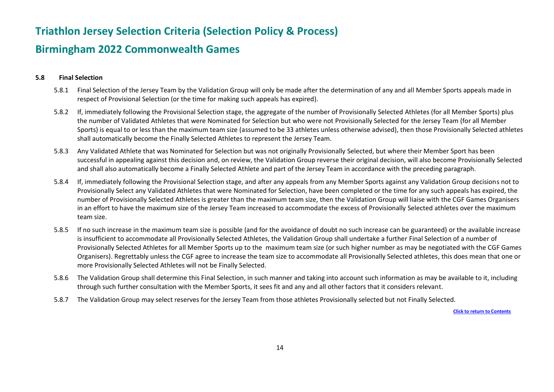#### **Birmingham 2022 Commonwealth Games**

#### **5.8 Final Selection**

- 5.8.1 Final Selection of the Jersey Team by the Validation Group will only be made after the determination of any and all Member Sports appeals made in respect of Provisional Selection (or the time for making such appeals has expired).
- 5.8.2 If, immediately following the Provisional Selection stage, the aggregate of the number of Provisionally Selected Athletes (for all Member Sports) plus the number of Validated Athletes that were Nominated for Selection but who were not Provisionally Selected for the Jersey Team (for all Member Sports) is equal to or less than the maximum team size (assumed to be 33 athletes unless otherwise advised), then those Provisionally Selected athletes shall automatically become the Finally Selected Athletes to represent the Jersey Team.
- 5.8.3 Any Validated Athlete that was Nominated for Selection but was not originally Provisionally Selected, but where their Member Sport has been successful in appealing against this decision and, on review, the Validation Group reverse their original decision, will also become Provisionally Selected and shall also automatically become a Finally Selected Athlete and part of the Jersey Team in accordance with the preceding paragraph.
- 5.8.4 If, immediately following the Provisional Selection stage, and after any appeals from any Member Sports against any Validation Group decisions not to Provisionally Select any Validated Athletes that were Nominated for Selection, have been completed or the time for any such appeals has expired, the number of Provisionally Selected Athletes is greater than the maximum team size, then the Validation Group will liaise with the CGF Games Organisers in an effort to have the maximum size of the Jersey Team increased to accommodate the excess of Provisionally Selected athletes over the maximum team size.
- 5.8.5 If no such increase in the maximum team size is possible (and for the avoidance of doubt no such increase can be guaranteed) or the available increase is insufficient to accommodate all Provisionally Selected Athletes, the Validation Group shall undertake a further Final Selection of a number of Provisionally Selected Athletes for all Member Sports up to the maximum team size (or such higher number as may be negotiated with the CGF Games Organisers). Regrettably unless the CGF agree to increase the team size to accommodate all Provisionally Selected athletes, this does mean that one or more Provisionally Selected Athletes will not be Finally Selected.
- 5.8.6 The Validation Group shall determine this Final Selection, in such manner and taking into account such information as may be available to it, including through such further consultation with the Member Sports, it sees fit and any and all other factors that it considers relevant.
- 5.8.7 The Validation Group may select reserves for the Jersey Team from those athletes Provisionally selected but not Finally Selected.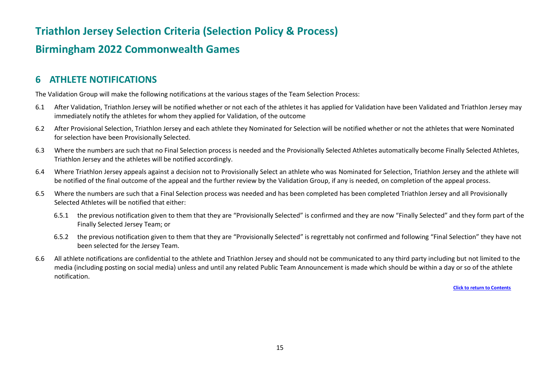### **Birmingham 2022 Commonwealth Games**

#### <span id="page-15-0"></span>**6 ATHLETE NOTIFICATIONS**

The Validation Group will make the following notifications at the various stages of the Team Selection Process:

- 6.1 After Validation, Triathlon Jersey will be notified whether or not each of the athletes it has applied for Validation have been Validated and Triathlon Jersey may immediately notify the athletes for whom they applied for Validation, of the outcome
- 6.2 After Provisional Selection, Triathlon Jersey and each athlete they Nominated for Selection will be notified whether or not the athletes that were Nominated for selection have been Provisionally Selected.
- 6.3 Where the numbers are such that no Final Selection process is needed and the Provisionally Selected Athletes automatically become Finally Selected Athletes, Triathlon Jersey and the athletes will be notified accordingly.
- 6.4 Where Triathlon Jersey appeals against a decision not to Provisionally Select an athlete who was Nominated for Selection, Triathlon Jersey and the athlete will be notified of the final outcome of the appeal and the further review by the Validation Group, if any is needed, on completion of the appeal process.
- 6.5 Where the numbers are such that a Final Selection process was needed and has been completed has been completed Triathlon Jersey and all Provisionally Selected Athletes will be notified that either:
	- 6.5.1 the previous notification given to them that they are "Provisionally Selected" is confirmed and they are now "Finally Selected" and they form part of the Finally Selected Jersey Team; or
	- 6.5.2 the previous notification given to them that they are "Provisionally Selected" is regrettably not confirmed and following "Final Selection" they have not been selected for the Jersey Team.
- 6.6 All athlete notifications are confidential to the athlete and Triathlon Jersey and should not be communicated to any third party including but not limited to the media (including posting on social media) unless and until any related Public Team Announcement is made which should be within a day or so of the athlete notification.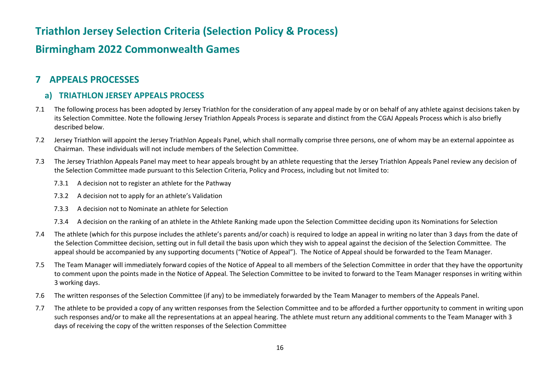#### **Birmingham 2022 Commonwealth Games**

#### <span id="page-16-0"></span>**7 APPEALS PROCESSES**

#### <span id="page-16-1"></span>**a) TRIATHLON JERSEY APPEALS PROCESS**

- 7.1 The following process has been adopted by Jersey Triathlon for the consideration of any appeal made by or on behalf of any athlete against decisions taken by its Selection Committee. Note the following Jersey Triathlon Appeals Process is separate and distinct from the CGAJ Appeals Process which is also briefly described below.
- 7.2 Jersey Triathlon will appoint the Jersey Triathlon Appeals Panel, which shall normally comprise three persons, one of whom may be an external appointee as Chairman. These individuals will not include members of the Selection Committee.
- 7.3 The Jersey Triathlon Appeals Panel may meet to hear appeals brought by an athlete requesting that the Jersey Triathlon Appeals Panel review any decision of the Selection Committee made pursuant to this Selection Criteria, Policy and Process, including but not limited to:
	- 7.3.1 A decision not to register an athlete for the Pathway
	- 7.3.2 A decision not to apply for an athlete's Validation
	- 7.3.3 A decision not to Nominate an athlete for Selection
	- 7.3.4 A decision on the ranking of an athlete in the Athlete Ranking made upon the Selection Committee deciding upon its Nominations for Selection
- 7.4 The athlete (which for this purpose includes the athlete's parents and/or coach) is required to lodge an appeal in writing no later than 3 days from the date of the Selection Committee decision, setting out in full detail the basis upon which they wish to appeal against the decision of the Selection Committee. The appeal should be accompanied by any supporting documents ("Notice of Appeal"). The Notice of Appeal should be forwarded to the Team Manager.
- 7.5 The Team Manager will immediately forward copies of the Notice of Appeal to all members of the Selection Committee in order that they have the opportunity to comment upon the points made in the Notice of Appeal. The Selection Committee to be invited to forward to the Team Manager responses in writing within 3 working days.
- 7.6 The written responses of the Selection Committee (if any) to be immediately forwarded by the Team Manager to members of the Appeals Panel.
- 7.7 The athlete to be provided a copy of any written responses from the Selection Committee and to be afforded a further opportunity to comment in writing upon such responses and/or to make all the representations at an appeal hearing. The athlete must return any additional comments to the Team Manager with 3 days of receiving the copy of the written responses of the Selection Committee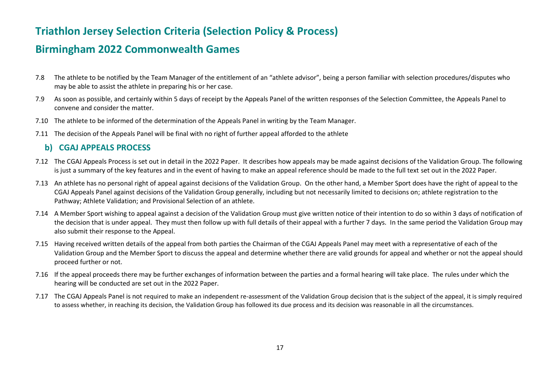#### **Birmingham 2022 Commonwealth Games**

- 7.8 The athlete to be notified by the Team Manager of the entitlement of an "athlete advisor", being a person familiar with selection procedures/disputes who may be able to assist the athlete in preparing his or her case.
- 7.9 As soon as possible, and certainly within 5 days of receipt by the Appeals Panel of the written responses of the Selection Committee, the Appeals Panel to convene and consider the matter.
- 7.10 The athlete to be informed of the determination of the Appeals Panel in writing by the Team Manager.
- 7.11 The decision of the Appeals Panel will be final with no right of further appeal afforded to the athlete

#### <span id="page-17-0"></span>**b) CGAJ APPEALS PROCESS**

- 7.12 The CGAJ Appeals Process is set out in detail in the 2022 Paper. It describes how appeals may be made against decisions of the Validation Group. The following is just a summary of the key features and in the event of having to make an appeal reference should be made to the full text set out in the 2022 Paper.
- 7.13 An athlete has no personal right of appeal against decisions of the Validation Group. On the other hand, a Member Sport does have the right of appeal to the CGAJ Appeals Panel against decisions of the Validation Group generally, including but not necessarily limited to decisions on; athlete registration to the Pathway; Athlete Validation; and Provisional Selection of an athlete.
- 7.14 A Member Sport wishing to appeal against a decision of the Validation Group must give written notice of their intention to do so within 3 days of notification of the decision that is under appeal. They must then follow up with full details of their appeal with a further 7 days. In the same period the Validation Group may also submit their response to the Appeal.
- 7.15 Having received written details of the appeal from both parties the Chairman of the CGAJ Appeals Panel may meet with a representative of each of the Validation Group and the Member Sport to discuss the appeal and determine whether there are valid grounds for appeal and whether or not the appeal should proceed further or not.
- 7.16 If the appeal proceeds there may be further exchanges of information between the parties and a formal hearing will take place. The rules under which the hearing will be conducted are set out in the 2022 Paper.
- 7.17 The CGAJ Appeals Panel is not required to make an independent re-assessment of the Validation Group decision that is the subject of the appeal, it is simply required to assess whether, in reaching its decision, the Validation Group has followed its due process and its decision was reasonable in all the circumstances.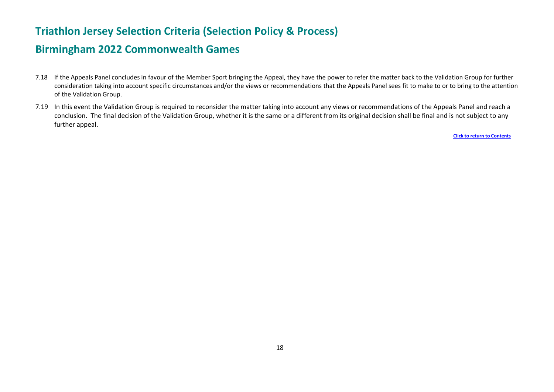#### **Birmingham 2022 Commonwealth Games**

- 7.18 If the Appeals Panel concludes in favour of the Member Sport bringing the Appeal, they have the power to refer the matter back to the Validation Group for further consideration taking into account specific circumstances and/or the views or recommendations that the Appeals Panel sees fit to make to or to bring to the attention of the Validation Group.
- 7.19 In this event the Validation Group is required to reconsider the matter taking into account any views or recommendations of the Appeals Panel and reach a conclusion. The final decision of the Validation Group, whether it is the same or a different from its original decision shall be final and is not subject to any further appeal.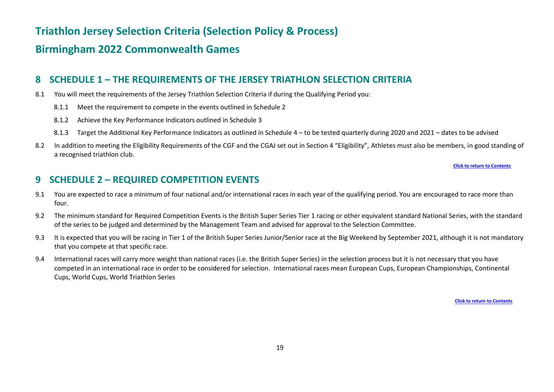#### **Birmingham 2022 Commonwealth Games**

#### <span id="page-19-0"></span>**8 SCHEDULE 1 – THE REQUIREMENTS OF THE JERSEY TRIATHLON SELECTION CRITERIA**

- 8.1 You will meet the requirements of the Jersey Triathlon Selection Criteria if during the Qualifying Period you:
	- 8.1.1 Meet the requirement to compete in the events outlined in Schedule 2
	- 8.1.2 Achieve the Key Performance Indicators outlined in Schedule 3
	- 8.1.3 Target the Additional Key Performance Indicators as outlined in Schedule 4 to be tested quarterly during 2020 and 2021 dates to be advised
- 8.2 In addition to meeting the Eligibility Requirements of the CGF and the CGAJ set out in Section 4 "Eligibility", Athletes must also be members, in good standing of a recognised triathlon club.

**[Click to return to Contents](#page-1-0)**

#### <span id="page-19-1"></span>**9 SCHEDULE 2 – REQUIRED COMPETITION EVENTS**

- 9.1 You are expected to race a minimum of four national and/or international races in each year of the qualifying period. You are encouraged to race more than four.
- 9.2 The minimum standard for Required Competition Events is the British Super Series Tier 1 racing or other equivalent standard National Series, with the standard of the series to be judged and determined by the Management Team and advised for approval to the Selection Committee.
- 9.3 It is expected that you will be racing in Tier 1 of the British Super Series Junior/Senior race at the Big Weekend by September 2021, although it is not mandatory that you compete at that specific race.
- 9.4 International races will carry more weight than national races (i.e. the British Super Series) in the selection process but it is not necessary that you have competed in an international race in order to be considered for selection. International races mean European Cups, European Championships, Continental Cups, World Cups, World Triathlon Series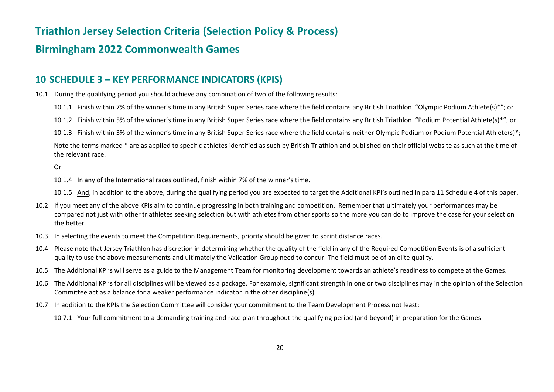### **Birmingham 2022 Commonwealth Games**

#### <span id="page-20-0"></span>**10 SCHEDULE 3 – KEY PERFORMANCE INDICATORS (KPIS)**

- 10.1 During the qualifying period you should achieve any combination of two of the following results:
	- 10.1.1 Finish within 7% of the winner's time in any British Super Series race where the field contains any British Triathlon "Olympic Podium Athlete(s)\*"; or
	- 10.1.2 Finish within 5% of the winner's time in any British Super Series race where the field contains any British Triathlon "Podium Potential Athlete(s)\*"; or
	- 10.1.3 Finish within 3% of the winner's time in any British Super Series race where the field contains neither Olympic Podium or Podium Potential Athlete(s)\*;

Note the terms marked \* are as applied to specific athletes identified as such by British Triathlon and published on their official website as such at the time of the relevant race.

Or

- 10.1.4 In any of the International races outlined, finish within 7% of the winner's time.
- 10.1.5 And, in addition to the above, during the qualifying period you are expected to target the Additional KPI's outlined in para 11 Schedule 4 of this paper.
- 10.2 If you meet any of the above KPIs aim to continue progressing in both training and competition. Remember that ultimately your performances may be compared not just with other triathletes seeking selection but with athletes from other sports so the more you can do to improve the case for your selection the better.
- 10.3 In selecting the events to meet the Competition Requirements, priority should be given to sprint distance races.
- 10.4 Please note that Jersey Triathlon has discretion in determining whether the quality of the field in any of the Required Competition Events is of a sufficient quality to use the above measurements and ultimately the Validation Group need to concur. The field must be of an elite quality.
- 10.5 The Additional KPI's will serve as a guide to the Management Team for monitoring development towards an athlete's readiness to compete at the Games.
- 10.6 The Additional KPI's for all disciplines will be viewed as a package. For example, significant strength in one or two disciplines may in the opinion of the Selection Committee act as a balance for a weaker performance indicator in the other discipline(s).
- 10.7 In addition to the KPIs the Selection Committee will consider your commitment to the Team Development Process not least:
	- 10.7.1 Your full commitment to a demanding training and race plan throughout the qualifying period (and beyond) in preparation for the Games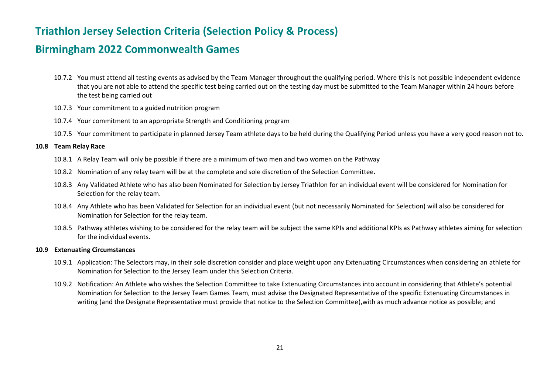#### **Birmingham 2022 Commonwealth Games**

- 10.7.2 You must attend all testing events as advised by the Team Manager throughout the qualifying period. Where this is not possible independent evidence that you are not able to attend the specific test being carried out on the testing day must be submitted to the Team Manager within 24 hours before the test being carried out
- 10.7.3 Your commitment to a guided nutrition program
- 10.7.4 Your commitment to an appropriate Strength and Conditioning program
- 10.7.5 Your commitment to participate in planned Jersey Team athlete days to be held during the Qualifying Period unless you have a very good reason not to.

#### **10.8 Team Relay Race**

- 10.8.1 A Relay Team will only be possible if there are a minimum of two men and two women on the Pathway
- 10.8.2 Nomination of any relay team will be at the complete and sole discretion of the Selection Committee.
- 10.8.3 Any Validated Athlete who has also been Nominated for Selection by Jersey Triathlon for an individual event will be considered for Nomination for Selection for the relay team.
- 10.8.4 Any Athlete who has been Validated for Selection for an individual event (but not necessarily Nominated for Selection) will also be considered for Nomination for Selection for the relay team.
- 10.8.5 Pathway athletes wishing to be considered for the relay team will be subject the same KPIs and additional KPIs as Pathway athletes aiming for selection for the individual events.

#### **10.9 Extenuating Circumstances**

- 10.9.1 Application: The Selectors may, in their sole discretion consider and place weight upon any Extenuating Circumstances when considering an athlete for Nomination for Selection to the Jersey Team under this Selection Criteria.
- 10.9.2 Notification: An Athlete who wishes the Selection Committee to take Extenuating Circumstances into account in considering that Athlete's potential Nomination for Selection to the Jersey Team Games Team, must advise the Designated Representative of the specific Extenuating Circumstances in writing (and the Designate Representative must provide that notice to the Selection Committee),with as much advance notice as possible; and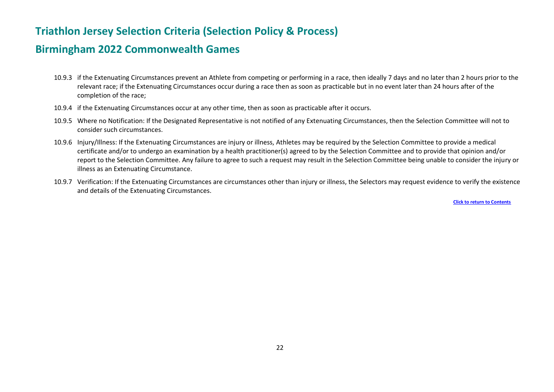#### **Birmingham 2022 Commonwealth Games**

- 10.9.3 if the Extenuating Circumstances prevent an Athlete from competing or performing in a race, then ideally 7 days and no later than 2 hours prior to the relevant race; if the Extenuating Circumstances occur during a race then as soon as practicable but in no event later than 24 hours after of the completion of the race;
- 10.9.4 if the Extenuating Circumstances occur at any other time, then as soon as practicable after it occurs.
- 10.9.5 Where no Notification: If the Designated Representative is not notified of any Extenuating Circumstances, then the Selection Committee will not to consider such circumstances.
- 10.9.6 Injury/Illness: If the Extenuating Circumstances are injury or illness, Athletes may be required by the Selection Committee to provide a medical certificate and/or to undergo an examination by a health practitioner(s) agreed to by the Selection Committee and to provide that opinion and/or report to the Selection Committee. Any failure to agree to such a request may result in the Selection Committee being unable to consider the injury or illness as an Extenuating Circumstance.
- 10.9.7 Verification: If the Extenuating Circumstances are circumstances other than injury or illness, the Selectors may request evidence to verify the existence and details of the Extenuating Circumstances.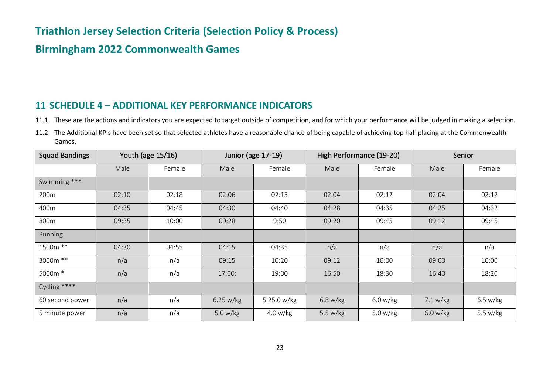### **Birmingham 2022 Commonwealth Games**

#### <span id="page-23-0"></span>**11 SCHEDULE 4 – ADDITIONAL KEY PERFORMANCE INDICATORS**

- 11.1 These are the actions and indicators you are expected to target outside of competition, and for which your performance will be judged in making a selection.
- 11.2 The Additional KPIs have been set so that selected athletes have a reasonable chance of being capable of achieving top half placing at the Commonwealth Games.

| <b>Squad Bandings</b> |       | Youth (age 15/16) | Junior (age 17-19) |             |            | High Performance (19-20) |          | Senior     |
|-----------------------|-------|-------------------|--------------------|-------------|------------|--------------------------|----------|------------|
|                       | Male  | Female            | Male               | Female      | Male       | Female                   | Male     | Female     |
| Swimming ***          |       |                   |                    |             |            |                          |          |            |
| 200m                  | 02:10 | 02:18             | 02:06              | 02:15       | 02:04      | 02:12                    | 02:04    | 02:12      |
| 400m                  | 04:35 | 04:45             | 04:30              | 04:40       | 04:28      | 04:35                    | 04:25    | 04:32      |
| 800m                  | 09:35 | 10:00             | 09:28              | 9:50        | 09:20      | 09:45                    | 09:12    | 09:45      |
| Running               |       |                   |                    |             |            |                          |          |            |
| 1500m **              | 04:30 | 04:55             | 04:15              | 04:35       | n/a        | n/a                      | n/a      | n/a        |
| 3000m **              | n/a   | n/a               | 09:15              | 10:20       | 09:12      | 10:00                    | 09:00    | 10:00      |
| 5000m *               | n/a   | n/a               | 17:00:             | 19:00       | 16:50      | 18:30                    | 16:40    | 18:20      |
| Cycling ****          |       |                   |                    |             |            |                          |          |            |
| 60 second power       | n/a   | n/a               | 6.25 w/kg          | 5.25.0 w/kg | 6.8 w/kg   | 6.0 w/kg                 | 7.1 w/kg | 6.5 w/kg   |
| 5 minute power        | n/a   | n/a               | 5.0 $w/kg$         | 4.0 w/kg    | 5.5 $w/kg$ | 5.0 $w/kg$               | 6.0 w/kg | 5.5 $w/kg$ |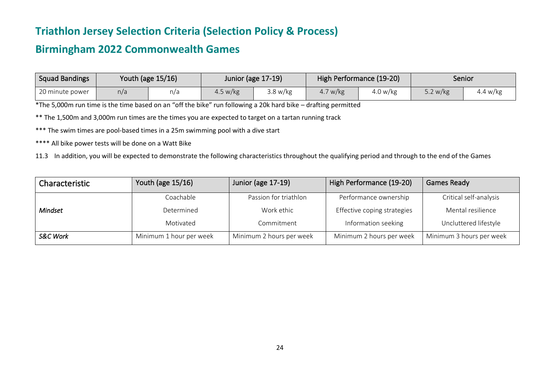### **Birmingham 2022 Commonwealth Games**

| <b>Squad Bandings</b> |     | Youth (age 15/16) | Junior (age 17-19) |          |                  | High Performance (19-20) | Senior     |          |
|-----------------------|-----|-------------------|--------------------|----------|------------------|--------------------------|------------|----------|
| 20 minute power       | n/a | n/a               | 4.5 w/kg           | 3.8 w/kg | 7 w/kg<br>$+$ ., | $\sim$<br>4.0 w/kg       | 5.2 $w/kg$ | 4.4 w/kg |

\*The 5,000m run time is the time based on an "off the bike" run following a 20k hard bike – drafting permitted

\*\* The 1,500m and 3,000m run times are the times you are expected to target on a tartan running track

\*\*\* The swim times are pool-based times in a 25m swimming pool with a dive start

\*\*\*\* All bike power tests will be done on a Watt Bike

11.3 In addition, you will be expected to demonstrate the following characteristics throughout the qualifying period and through to the end of the Games

| Characteristic      | Youth (age 15/16)       | Junior (age 17-19)       | High Performance (19-20)    | <b>Games Ready</b>       |
|---------------------|-------------------------|--------------------------|-----------------------------|--------------------------|
|                     | Coachable               | Passion for triathlon    | Performance ownership       | Critical self-analysis   |
| <b>Mindset</b>      | Determined              | Work ethic               | Effective coping strategies | Mental resilience        |
|                     | Motivated               | Commitment               | Information seeking         | Uncluttered lifestyle    |
| <b>S&amp;C Work</b> | Minimum 1 hour per week | Minimum 2 hours per week | Minimum 2 hours per week    | Minimum 3 hours per week |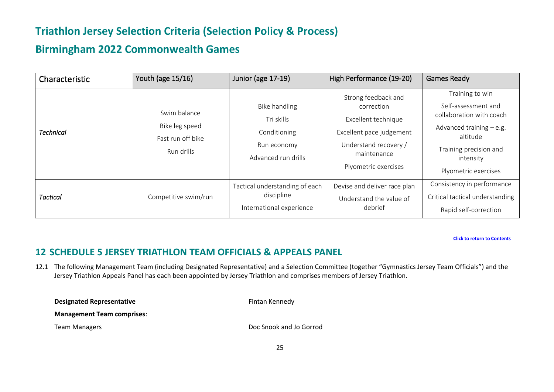### **Birmingham 2022 Commonwealth Games**

| Characteristic   | Youth (age 15/16)                                                 | Junior (age 17-19)                                                                | High Performance (19-20)                                                                                                                             | <b>Games Ready</b>                                                                                                                                                         |
|------------------|-------------------------------------------------------------------|-----------------------------------------------------------------------------------|------------------------------------------------------------------------------------------------------------------------------------------------------|----------------------------------------------------------------------------------------------------------------------------------------------------------------------------|
| <b>Technical</b> | Swim balance<br>Bike leg speed<br>Fast run off bike<br>Run drills | Bike handling<br>Tri skills<br>Conditioning<br>Run economy<br>Advanced run drills | Strong feedback and<br>correction<br>Excellent technique<br>Excellent pace judgement<br>Understand recovery /<br>maintenance<br>Plyometric exercises | Training to win<br>Self-assessment and<br>collaboration with coach<br>Advanced training $-e.g.$<br>altitude<br>Training precision and<br>intensity<br>Plyometric exercises |
| <b>Tactical</b>  | Competitive swim/run                                              | Tactical understanding of each<br>discipline<br>International experience          | Devise and deliver race plan<br>Understand the value of<br>debrief                                                                                   | Consistency in performance<br>Critical tactical understanding<br>Rapid self-correction                                                                                     |

**[Click to return to Contents](#page-1-0)**

#### <span id="page-25-0"></span>**12 SCHEDULE 5 JERSEY TRIATHLON TEAM OFFICIALS & APPEALS PANEL**

12.1 The following Management Team (including Designated Representative) and a Selection Committee (together "Gymnastics Jersey Team Officials") and the Jersey Triathlon Appeals Panel has each been appointed by Jersey Triathlon and comprises members of Jersey Triathlon.

| <b>Designated Representative</b>  | Fintan Kennedy          |
|-----------------------------------|-------------------------|
| <b>Management Team comprises:</b> |                         |
| Team Managers                     | Doc Snook and Jo Gorrod |